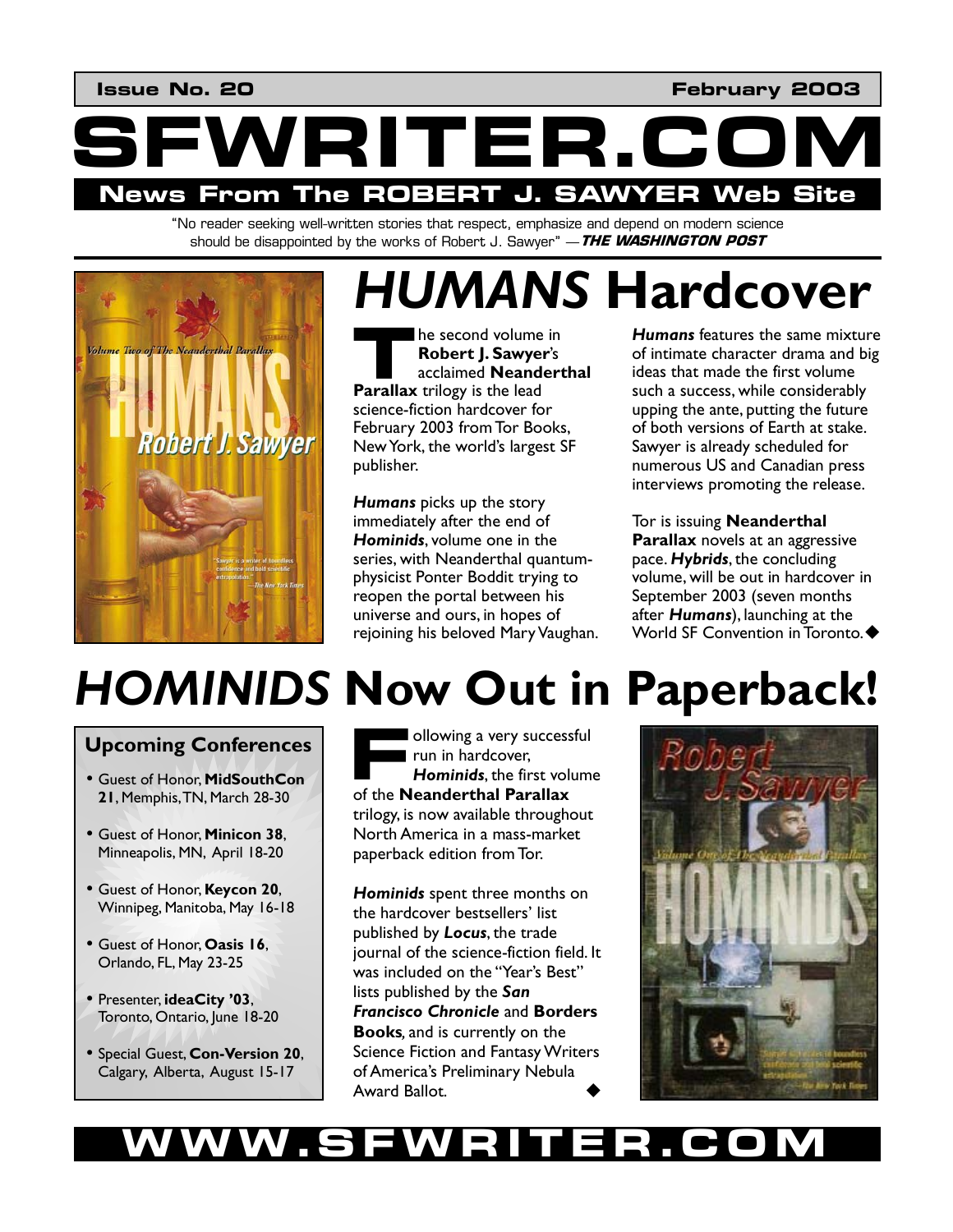**Issue No. 20 February 2003** 



"No reader seeking well-written stories that respect, emphasize and depend on modern science should be disappointed by the works of Robert J. Sawyer" —**THE WASHINGTON POST**



# *HUMANS* **Hardcover**

he second volume in **Robert J. Sawyer**'s acclaimed **Neanderthal Parallax** trilogy is the lead **Parallax** trilogy is the lead science-fiction hardcover for February 2003 from Tor Books, New York, the world's largest SF publisher.

*Humans* picks up the story immediately after the end of *Hominids*, volume one in the series, with Neanderthal quantumphysicist Ponter Boddit trying to reopen the portal between his universe and ours, in hopes of rejoining his beloved Mary Vaughan. *Humans* features the same mixture of intimate character drama and big ideas that made the first volume such a success, while considerably upping the ante, putting the future of both versions of Earth at stake. Sawyer is already scheduled for numerous US and Canadian press interviews promoting the release.

Tor is issuing **Neanderthal Parallax** novels at an aggressive pace. *Hybrids*, the concluding volume, will be out in hardcover in September 2003 (seven months after *Humans*), launching at the World SF Convention in Toronto.  $\blacklozenge$ 

# *HOMINIDS* **Now Out in Paperback!**

## **Upcoming Conferences**

- Guest of Honor, **MidSouthCon 21**, Memphis, TN, March 28-30
- Guest of Honor, **Minicon 38**, Minneapolis, MN, April 18-20
- Guest of Honor, **Keycon 20**, Winnipeg, Manitoba, May 16-18
- Guest of Honor, **Oasis 16**, Orlando, FL, May 23-25
- Presenter, **ideaCity '03**, Toronto, Ontario, June 18-20
- Special Guest, **Con-Version 20**, Calgary, Alberta, August 15-17

ollowing a very successful run in hardcover, *Hominids*, the first volume **Example 1** ollowing a very success<br>
run in hardcover,<br> **Hominids**, the first volume of the **Neanderthal Parallax** trilogy, is now available throughout North America in a mass-market paperback edition from Tor.

*Hominids* spent three months on the hardcover bestsellers' list published by *Locus*, the trade journal of the science-fiction field. It was included on the "Year's Best" lists published by the *San Francisco Chronicle* and **Borders Books***,* and is currently on the Science Fiction and Fantasy Writers of America's Preliminary Nebula Award Ballot.



# **WW.SFWRIT**